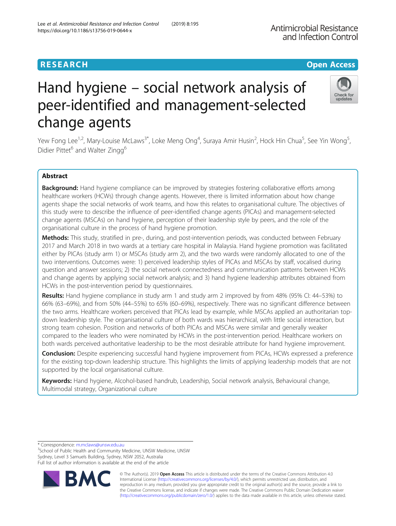# **RESEARCH CHE Open Access**

# Hand hygiene – social network analysis of peer-identified and management-selected change agents

Yew Fong Lee<sup>1,2</sup>, Mary-Louise McLaws<sup>3\*</sup>, Loke Meng Ong<sup>4</sup>, Suraya Amir Husin<sup>2</sup>, Hock Hin Chua<sup>5</sup>, See Yin Wong<sup>5</sup> .<br>، Didier Pittet<sup>6</sup> and Walter Zingg<sup>6</sup>

# Abstract

Background: Hand hygiene compliance can be improved by strategies fostering collaborative efforts among healthcare workers (HCWs) through change agents. However, there is limited information about how change agents shape the social networks of work teams, and how this relates to organisational culture. The objectives of this study were to describe the influence of peer-identified change agents (PICAs) and management-selected change agents (MSCAs) on hand hygiene, perception of their leadership style by peers, and the role of the organisational culture in the process of hand hygiene promotion.

Methods: This study, stratified in pre-, during, and post-intervention periods, was conducted between February 2017 and March 2018 in two wards at a tertiary care hospital in Malaysia. Hand hygiene promotion was facilitated either by PICAs (study arm 1) or MSCAs (study arm 2), and the two wards were randomly allocated to one of the two interventions. Outcomes were: 1) perceived leadership styles of PICAs and MSCAs by staff, vocalised during question and answer sessions; 2) the social network connectedness and communication patterns between HCWs and change agents by applying social network analysis; and 3) hand hygiene leadership attributes obtained from HCWs in the post-intervention period by questionnaires.

Results: Hand hygiene compliance in study arm 1 and study arm 2 improved by from 48% (95% CI: 44–53%) to 66% (63–69%), and from 50% (44–55%) to 65% (60–69%), respectively. There was no significant difference between the two arms. Healthcare workers perceived that PICAs lead by example, while MSCAs applied an authoritarian topdown leadership style. The organisational culture of both wards was hierarchical, with little social interaction, but strong team cohesion. Position and networks of both PICAs and MSCAs were similar and generally weaker compared to the leaders who were nominated by HCWs in the post-intervention period. Healthcare workers on both wards perceived authoritative leadership to be the most desirable attribute for hand hygiene improvement.

**Conclusion:** Despite experiencing successful hand hygiene improvement from PICAs, HCWs expressed a preference for the existing top-down leadership structure. This highlights the limits of applying leadership models that are not supported by the local organisational culture.

Keywords: Hand hygiene, Alcohol-based handrub, Leadership, Social network analysis, Behavioural change, Multimodal strategy, Organizational culture

<sup>3</sup>School of Public Health and Community Medicine, UNSW Medicine, UNSW Sydney, Level 3 Samuels Building, Sydney, NSW 2052, Australia Full list of author information is available at the end of the article

> © The Author(s). 2019 **Open Access** This article is distributed under the terms of the Creative Commons Attribution 4.0 International License [\(http://creativecommons.org/licenses/by/4.0/](http://creativecommons.org/licenses/by/4.0/)), which permits unrestricted use, distribution, and reproduction in any medium, provided you give appropriate credit to the original author(s) and the source, provide a link to the Creative Commons license, and indicate if changes were made. The Creative Commons Public Domain Dedication waiver [\(http://creativecommons.org/publicdomain/zero/1.0/](http://creativecommons.org/publicdomain/zero/1.0/)) applies to the data made available in this article, unless otherwise stated.

\* Correspondence: [m.mclaws@unsw.edu.au](mailto:m.mclaws@unsw.edu.au) <sup>3</sup>





Lee et al. Antimicrobial Resistance and Infection Control (2019) 8:195 https://doi.org/10.1186/s13756-019-0644-x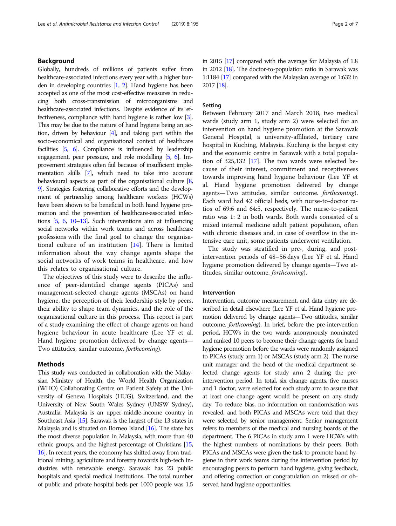# Background

Globally, hundreds of millions of patients suffer from healthcare-associated infections every year with a higher burden in developing countries [\[1,](#page-6-0) [2](#page-6-0)]. Hand hygiene has been accepted as one of the most cost-effective measures in reducing both cross-transmission of microorganisms and healthcare-associated infections. Despite evidence of its effectiveness, compliance with hand hygiene is rather low [\[3\]](#page-6-0). This may be due to the nature of hand hygiene being an action, driven by behaviour [\[4\]](#page-6-0), and taking part within the socio-economical and organisational context of healthcare facilities [\[5](#page-6-0), [6](#page-6-0)]. Compliance is influenced by leadership engagement, peer pressure, and role modelling [\[5](#page-6-0), [6\]](#page-6-0). Improvement strategies often fail because of insufficient implementation skills [[7](#page-6-0)], which need to take into account behavioural aspects as part of the organisational culture [\[8](#page-6-0), [9](#page-6-0)]. Strategies fostering collaborative efforts and the development of partnership among healthcare workers (HCWs) have been shown to be beneficial in both hand hygiene promotion and the prevention of healthcare-associated infections [\[5,](#page-6-0) [6,](#page-6-0) [10](#page-6-0)–[13](#page-6-0)]. Such interventions aim at influencing social networks within work teams and across healthcare professions with the final goal to change the organisational culture of an institution [[14\]](#page-6-0). There is limited information about the way change agents shape the social networks of work teams in healthcare, and how this relates to organisational culture.

The objectives of this study were to describe the influence of peer-identified change agents (PICAs) and management-selected change agents (MSCAs) on hand hygiene, the perception of their leadership style by peers, their ability to shape team dynamics, and the role of the organisational culture in this process. This report is part of a study examining the effect of change agents on hand hygiene behaviour in acute healthcare (Lee YF et al. Hand hygiene promotion delivered by change agents— Two attitudes, similar outcome, forthcoming).

#### Methods

This study was conducted in collaboration with the Malaysian Ministry of Health, the World Health Organization (WHO) Collaborating Centre on Patient Safety at the University of Geneva Hospitals (HUG), Switzerland, and the University of New South Wales Sydney (UNSW Sydney), Australia. Malaysia is an upper-middle-income country in Southeast Asia [\[15](#page-6-0)]. Sarawak is the largest of the 13 states in Malaysia and is situated on Borneo Island  $[16]$ . The state has the most diverse population in Malaysia, with more than 40 ethnic groups, and the highest percentage of Christians [\[15](#page-6-0), [16\]](#page-6-0). In recent years, the economy has shifted away from traditional mining, agriculture and forestry towards high-tech industries with renewable energy. Sarawak has 23 public hospitals and special medical institutions. The total number of public and private hospital beds per 1000 people was 1.5 in 2015 [\[17\]](#page-6-0) compared with the average for Malaysia of 1.8 in 2012 [[18\]](#page-6-0). The doctor-to-population ratio in Sarawak was 1:1184 [\[17\]](#page-6-0) compared with the Malaysian average of 1:632 in 2017 [\[18\]](#page-6-0).

# Setting

Between February 2017 and March 2018, two medical wards (study arm 1, study arm 2) were selected for an intervention on hand hygiene promotion at the Sarawak General Hospital, a university-affiliated, tertiary care hospital in Kuching, Malaysia. Kuching is the largest city and the economic centre in Sarawak with a total population of 325,132 [[17\]](#page-6-0). The two wards were selected because of their interest, commitment and receptiveness towards improving hand hygiene behaviour (Lee YF et al. Hand hygiene promotion delivered by change agents—Two attitudes, similar outcome. forthcoming). Each ward had 42 official beds, with nurse-to-doctor ratios of 69:6 and 64:5, respectively. The nurse-to-patient ratio was 1: 2 in both wards. Both wards consisted of a mixed internal medicine adult patient population, often with chronic diseases and, in case of overflow in the intensive care unit, some patients underwent ventilation.

The study was stratified in pre-, during, and postintervention periods of 48–56 days (Lee YF et al. Hand hygiene promotion delivered by change agents—Two attitudes, similar outcome. forthcoming).

#### Intervention

Intervention, outcome measurement, and data entry are described in detail elsewhere (Lee YF et al. Hand hygiene promotion delivered by change agents—Two attitudes, similar outcome. forthcoming). In brief, before the pre-intervention period, HCWs in the two wards anonymously nominated and ranked 10 peers to become their change agents for hand hygiene promotion before the wards were randomly assigned to PICAs (study arm 1) or MSCAs (study arm 2). The nurse unit manager and the head of the medical department selected change agents for study arm 2 during the preintervention period. In total, six change agents, five nurses and 1 doctor, were selected for each study arm to assure that at least one change agent would be present on any study day. To reduce bias, no information on randomisation was revealed, and both PICAs and MSCAs were told that they were selected by senior management. Senior management refers to members of the medical and nursing boards of the department. The 6 PICAs in study arm 1 were HCWs with the highest numbers of nominations by their peers. Both PICAs and MSCAs were given the task to promote hand hygiene in their work teams during the intervention period by encouraging peers to perform hand hygiene, giving feedback, and offering correction or congratulation on missed or observed hand hygiene opportunities.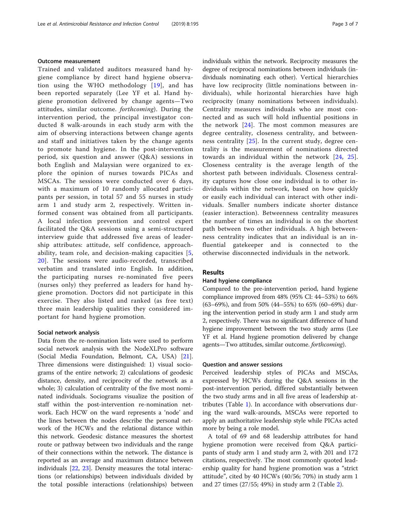#### Outcome measurement

Trained and validated auditors measured hand hygiene compliance by direct hand hygiene observation using the WHO methodology [[19](#page-6-0)], and has been reported separately (Lee YF et al. Hand hygiene promotion delivered by change agents—Two attitudes, similar outcome. forthcoming). During the intervention period, the principal investigator conducted 8 walk-arounds in each study arm with the aim of observing interactions between change agents and staff and initiatives taken by the change agents to promote hand hygiene. In the post-intervention period, six question and answer (Q&A) sessions in both English and Malaysian were organized to explore the opinion of nurses towards PICAs and MSCAs. The sessions were conducted over 6 days, with a maximum of 10 randomly allocated participants per session, in total 57 and 55 nurses in study arm 1 and study arm 2, respectively. Written informed consent was obtained from all participants. A local infection prevention and control expert facilitated the Q&A sessions using a semi-structured interview guide that addressed five areas of leadership attributes: attitude, self confidence, approachability, team role, and decision-making capacities [[5](#page-6-0), [20](#page-6-0)]. The sessions were audio-recorded, transcribed verbatim and translated into English. In addition, the participating nurses re-nominated five peers (nurses only) they preferred as leaders for hand hygiene promotion. Doctors did not participate in this exercise. They also listed and ranked (as free text) three main leadership qualities they considered important for hand hygiene promotion.

#### Social network analysis

Data from the re-nomination lists were used to perform social network analysis with the NodeXLPro software (Social Media Foundation, Belmont, CA, USA) [\[21](#page-6-0)]. Three dimensions were distinguished: 1) visual sociograms of the entire network; 2) calculations of geodesic distance, density, and reciprocity of the network as a whole; 3) calculation of centrality of the five most nominated individuals. Sociograms visualize the position of staff within the post-intervention re-nomination network. Each HCW on the ward represents a 'node' and the lines between the nodes describe the personal network of the HCWs and the relational distance within this network. Geodesic distance measures the shortest route or pathway between two individuals and the range of their connections within the network. The distance is reported as an average and maximum distance between individuals [[22,](#page-6-0) [23\]](#page-6-0). Density measures the total interactions (or relationships) between individuals divided by the total possible interactions (relationships) between

individuals within the network. Reciprocity measures the degree of reciprocal nominations between individuals (individuals nominating each other). Vertical hierarchies have low reciprocity (little nominations between individuals), while horizontal hierarchies have high reciprocity (many nominations between individuals). Centrality measures individuals who are most connected and as such will hold influential positions in the network [\[24\]](#page-6-0). The most common measures are degree centrality, closeness centrality, and betweenness centrality [[25](#page-6-0)]. In the current study, degree centrality is the measurement of nominations directed towards an individual within the network [[24,](#page-6-0) [25](#page-6-0)]. Closeness centrality is the average length of the shortest path between individuals. Closeness centrality captures how close one individual is to other individuals within the network, based on how quickly or easily each individual can interact with other individuals. Smaller numbers indicate shorter distance (easier interaction). Betweenness centrality measures the number of times an individual is on the shortest path between two other individuals. A high betweenness centrality indicates that an individual is an influential gatekeeper and is connected to the otherwise disconnected individuals in the network.

# Results

#### Hand hygiene compliance

Compared to the pre-intervention period, hand hygiene compliance improved from 48% (95% CI: 44–53%) to 66% (63–69%), and from 50% (44–55%) to 65% (60–69%) during the intervention period in study arm 1 and study arm 2, respectively. There was no significant difference of hand hygiene improvement between the two study arms (Lee YF et al. Hand hygiene promotion delivered by change agents—Two attitudes, similar outcome. forthcoming).

#### Question and answer sessions

Perceived leadership styles of PICAs and MSCAs, expressed by HCWs during the Q&A sessions in the post-intervention period, differed substantially between the two study arms and in all five areas of leadership attributes (Table [1](#page-3-0)). In accordance with observations during the ward walk-arounds, MSCAs were reported to apply an authoritative leadership style while PICAs acted more by being a role model.

A total of 69 and 68 leadership attributes for hand hygiene promotion were received from Q&A participants of study arm 1 and study arm 2, with 201 and 172 citations, respectively. The most commonly quoted leadership quality for hand hygiene promotion was a "strict attitude", cited by 40 HCWs (40/56; 70%) in study arm 1 and 27 times (27/55; 49%) in study arm 2 (Table [2\)](#page-3-0).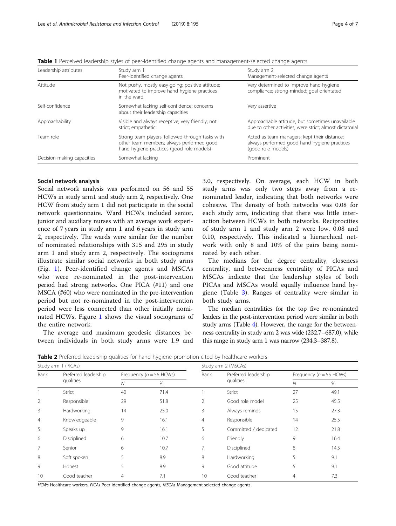| Leadership attributes      | Study arm 1<br>Peer-identified change agents                                                                                               | Study arm 2<br>Management-selected change agents                                                                   |
|----------------------------|--------------------------------------------------------------------------------------------------------------------------------------------|--------------------------------------------------------------------------------------------------------------------|
| Attitude                   | Not pushy, mostly easy-going; positive attitude;<br>motivated to improve hand hygiene practices<br>in the ward                             | Very determined to improve hand hygiene<br>compliance; strong-minded; goal orientated                              |
| Self-confidence            | Somewhat lacking self-confidence; concerns<br>about their leadership capacities                                                            | Very assertive                                                                                                     |
| Approachability            | Visible and always receptive; very friendly; not<br>strict; empathetic                                                                     | Approachable attitude, but sometimes unavailable<br>due to other activities; were strict; almost dictatorial       |
| Team role                  | Strong team players; followed-through tasks with<br>other team members; always performed good<br>hand hygiene practices (good role models) | Acted as team managers; kept their distance;<br>always performed good hand hygiene practices<br>(good role models) |
| Decision-making capacities | Somewhat lacking                                                                                                                           | Prominent                                                                                                          |

<span id="page-3-0"></span>Table 1 Perceived leadership styles of peer-identified change agents and management-selected change agents

#### Social network analysis

Social network analysis was performed on 56 and 55 HCWs in study arm1 and study arm 2, respectively. One HCW from study arm 1 did not participate in the social network questionnaire. Ward HCWs included senior, junior and auxiliary nurses with an average work experience of 7 years in study arm 1 and 6 years in study arm 2, respectively. The wards were similar for the number of nominated relationships with 315 and 295 in study arm 1 and study arm 2, respectively. The sociograms illustrate similar social networks in both study arms (Fig. [1\)](#page-4-0). Peer-identified change agents and MSCAs who were re-nominated in the post-intervention period had strong networks. One PICA (#11) and one MSCA (#60) who were nominated in the pre-intervention period but not re-nominated in the post-intervention period were less connected than other initially nominated HCWs. Figure [1](#page-4-0) shows the visual sociograms of the entire network.

The average and maximum geodesic distances between individuals in both study arms were 1.9 and 3.0, respectively. On average, each HCW in both study arms was only two steps away from a renominated leader, indicating that both networks were cohesive. The density of both networks was 0.08 for each study arm, indicating that there was little interaction between HCWs in both networks. Reciprocities of study arm 1 and study arm 2 were low, 0.08 and 0.10, respectively. This indicated a hierarchical network with only 8 and 10% of the pairs being nominated by each other.

The medians for the degree centrality, closeness centrality, and betweenness centrality of PICAs and MSCAs indicate that the leadership styles of both PICAs and MSCAs would equally influence hand hygiene (Table [3\)](#page-4-0). Ranges of centrality were similar in both study arms.

The median centralities for the top five re-nominated leaders in the post-intervention period were similar in both study arms (Table [4](#page-4-0)). However, the range for the betweenness centrality in study arm 2 was wide (232.7–687.0), while this range in study arm 1 was narrow (234.3–387.8).

| Study arm 1 (PICAs) |                      |    |                            | Study arm 2 (MSCAs) |                       |                            |      |  |
|---------------------|----------------------|----|----------------------------|---------------------|-----------------------|----------------------------|------|--|
| Rank                | Preferred leadership |    | Frequency ( $n = 56$ HCWs) |                     | Preferred leadership  | Frequency ( $n = 55$ HCWs) |      |  |
|                     | qualities            | Ν  | $\%$                       |                     | qualities             | N                          | %    |  |
|                     | Strict               | 40 | 71.4                       |                     | Strict                | 27                         | 49.1 |  |
| 2                   | Responsible          | 29 | 51.8                       | 2                   | Good role model       | 25                         | 45.5 |  |
| 3                   | Hardworking          | 14 | 25.0                       | 3                   | Always reminds        | 15                         | 27.3 |  |
| $\overline{4}$      | Knowledgeable        | 9  | 16.1                       | 4                   | Responsible           | 14                         | 25.5 |  |
| 5                   | Speaks up            | 9  | 16.1                       | 5                   | Committed / dedicated | 12                         | 21.8 |  |
| 6                   | Disciplined          | 6  | 10.7                       | 6                   | Friendly              | 9                          | 16.4 |  |
| 7                   | Senior               | 6  | 10.7                       | 7                   | Disciplined           | 8                          | 14.5 |  |
| 8                   | Soft spoken          | 5  | 8.9                        | 8                   | Hardworking           | 5                          | 9.1  |  |
| 9                   | Honest               | 5  | 8.9                        | 9                   | Good attitude         | 5                          | 9.1  |  |
| 10                  | Good teacher         | 4  | 7.1                        | 10                  | Good teacher          | $\overline{4}$             | 7.3  |  |

**Table 2** Preferred leadership qualities for hand hygiene promotion cited by healthcare workers

HCWs Healthcare workers, PICAs Peer-identified change agents, MSCAs Management-selected change agents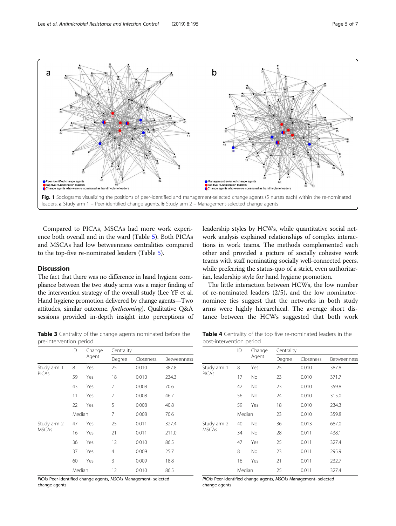<span id="page-4-0"></span>

Compared to PICAs, MSCAs had more work experience both overall and in the ward (Table [5](#page-5-0)). Both PICAs and MSCAs had low betweenness centralities compared to the top-five re-nominated leaders (Table [5\)](#page-5-0).

# **Discussion**

The fact that there was no difference in hand hygiene compliance between the two study arms was a major finding of the intervention strategy of the overall study (Lee YF et al. Hand hygiene promotion delivered by change agents—Two attitudes, similar outcome. forthcoming). Qualitative Q&A sessions provided in-depth insight into perceptions of leadership styles by HCWs, while quantitative social network analysis explained relationships of complex interactions in work teams. The methods complemented each other and provided a picture of socially cohesive work teams with staff nominating socially well-connected peers, while preferring the status-quo of a strict, even authoritarian, leadership style for hand hygiene promotion.

The little interaction between HCWs, the low number of re-nominated leaders (2/5), and the low nominatornominee ties suggest that the networks in both study arms were highly hierarchical. The average short distance between the HCWs suggested that both work

Table 3 Centrality of the change agents nominated before the pre-intervention period

|              | ID     | Change<br>Agent | Centrality |           |             |  |
|--------------|--------|-----------------|------------|-----------|-------------|--|
|              |        |                 | Degree     | Closeness | Betweenness |  |
| Study arm 1  | 8      | Yes             | 25         | 0.010     | 387.8       |  |
| <b>PICAs</b> | 59     | Yes             | 18         | 0.010     | 234.3       |  |
|              | 43     | Yes             | 7          | 0.008     | 70.6        |  |
|              | 11     | Yes             | 7          | 0.008     | 46.7        |  |
|              | 22     | Yes             | 5          | 0.008     | 40.8        |  |
| Median       |        |                 | 7          | 0.008     | 70.6        |  |
| Study arm 2  | 47     | Yes             | 25         | 0.011     | 327.4       |  |
| <b>MSCAs</b> | 16     | Yes             | 21         | 0.011     | 211.0       |  |
|              | 36     | Yes             | 12         | 0.010     | 86.5        |  |
|              | 37     | Yes             | 4          | 0.009     | 25.7        |  |
|              | 60     | Yes             | 3          | 0.009     | 18.8        |  |
|              | Median |                 | 12         | 0.010     | 86.5        |  |

PICAs Peer-identified change agents, MSCAs Management- selected change agents

Table 4 Centrality of the top five re-nominated leaders in the post-intervention period

|                             | ID     | Change<br>Agent | Centrality |           |             |  |
|-----------------------------|--------|-----------------|------------|-----------|-------------|--|
|                             |        |                 | Degree     | Closeness | Betweenness |  |
| Study arm 1<br><b>PICAs</b> | 8      | Yes             | 25         | 0.010     | 387.8       |  |
|                             | 17     | No.             | 23         | 0.010     | 371.7       |  |
|                             | 42     | No              | 23         | 0.010     | 359.8       |  |
|                             | 56     | No.             | 24         | 0.010     | 315.0       |  |
|                             | 59     | Yes             | 18         | 0.010     | 234.3       |  |
|                             | Median |                 | 23         | 0.010     | 359.8       |  |
| Study arm 2                 | 40     | No              | 36         | 0.013     | 687.0       |  |
| <b>MSCAs</b>                | 34     | No              | 28         | 0.011     | 438.1       |  |
|                             | 47     | Yes             | 25         | 0.011     | 327.4       |  |
|                             | 8      | No.             | 23         | 0.011     | 295.9       |  |
|                             | 16     | Yes             | 21         | 0.011     | 232.7       |  |
|                             | Median |                 | 25         | 0.011     | 327.4       |  |

PICAs Peer-identified change agents, MSCAs Management- selected change agents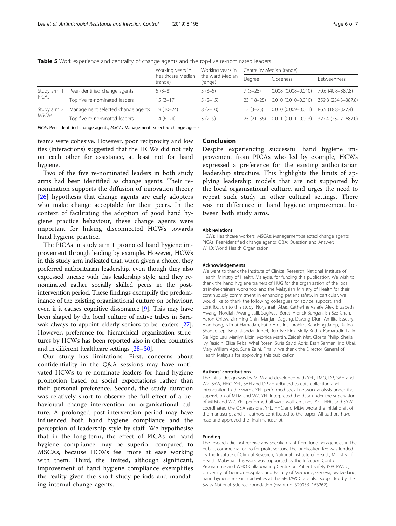|                             |                                   | Working years in<br>healthcare Median<br>(range) | Working years in<br>the ward Median<br>(range) | Centrality Median (range) |                        |                     |
|-----------------------------|-----------------------------------|--------------------------------------------------|------------------------------------------------|---------------------------|------------------------|---------------------|
|                             |                                   |                                                  |                                                | Degree                    | Closeness              | Betweenness         |
| Study arm 1<br>PICAs        | Peer-identified change agents     | $5(3-8)$                                         | $5(3-5)$                                       | $7(5-25)$                 | $0.008(0.008 - 0.010)$ | 70.6 (40.8-387.8)   |
|                             | Top five re-nominated leaders     | $15(3-17)$                                       | $5(2-15)$                                      | $23(18-25)$               | $0.010(0.010 - 0.010)$ | 359.8 (234.3-387.8) |
| Study arm 2<br><b>MSCAs</b> | Management selected change agents | $19(10-24)$                                      | $8(2-10)$                                      | $12(3-25)$                | $0.010(0.009 - 0.011)$ | 86.5 (18.8-327.4)   |
|                             | Top five re-nominated leaders     | $14(6-24)$                                       | $3(2-9)$                                       | $25(21-36)$               | $0.011(0.011 - 0.013)$ | 327.4 (232.7-687.0) |
|                             |                                   |                                                  |                                                |                           |                        |                     |

<span id="page-5-0"></span>Table 5 Work experience and centrality of change agents and the top-five re-nominated leaders

PICAs Peer-identified change agents, MSCAs Management- selected change agents

teams were cohesive. However, poor reciprocity and low ties (interactions) suggested that the HCWs did not rely on each other for assistance, at least not for hand hygiene.

Two of the five re-nominated leaders in both study arms had been identified as change agents. Their renomination supports the diffusion of innovation theory [[26\]](#page-6-0) hypothesis that change agents are early adopters who make change acceptable for their peers. In the context of facilitating the adoption of good hand hygiene practice behaviour, these change agents were important for linking disconnected HCWs towards hand hygiene practice.

The PICAs in study arm 1 promoted hand hygiene improvement through leading by example. However, HCWs in this study arm indicated that, when given a choice, they preferred authoritarian leadership, even though they also expressed unease with this leadership style, and they renominated rather socially skilled peers in the postintervention period. These findings exemplify the predominance of the existing organisational culture on behaviour, even if it causes cognitive dissonance [\[9](#page-6-0)]. This may have been shaped by the local culture of native tribes in Sarawak always to appoint elderly seniors to be leaders [[27](#page-6-0)]. However, preference for hierarchical organization structures by HCWs has been reported also in other countries and in different healthcare settings [[28](#page-6-0)–[30\]](#page-6-0).

Our study has limitations. First, concerns about confidentiality in the Q&A sessions may have motivated HCWs to re-nominate leaders for hand hygiene promotion based on social expectations rather than their personal preference. Second, the study duration was relatively short to observe the full effect of a behavioural change intervention on organisational culture. A prolonged post-intervention period may have influenced both hand hygiene compliance and the perception of leadership style by staff. We hypothesise that in the long-term, the effect of PICAs on hand hygiene compliance may be superior compared to MSCAs, because HCWs feel more at ease working with them. Third, the limited, although significant, improvement of hand hygiene compliance exemplifies the reality given the short study periods and mandating internal change agents.

### Conclusion

Despite experiencing successful hand hygiene improvement from PICAs who led by example, HCWs expressed a preference for the existing authoritarian leadership structure. This highlights the limits of applying leadership models that are not supported by the local organisational culture, and urges the need to repeat such study in other cultural settings. There was no difference in hand hygiene improvement between both study arms.

#### Abbreviations

HCWs: Healthcare workers; MSCAs: Management-selected change agents; PICAs: Peer-identified change agents; Q&A: Question and Answer; WHO: World Health Organization

#### Acknowledgements

We want to thank the Institute of Clinical Research, National Institute of Health, Ministry of Health, Malaysia, for funding this publication. We wish to thank the hand hygiene trainers of HUG for the organization of the local train-the-trainers workshop, and the Malaysian Ministry of Health for their continuously commitment in enhancing patient safety. In particular, we would like to thank the following colleagues for advice, support, and contribution to this study: Norjannah Abas, Catherine Valarie Alek, Elizabeth Awang, Nordiah Awang Jalil, Sugiwati Boret, Aldrick Bungan, En Sze Chan, Aaron Chiew, Zin Hing Chin, Manjan Dagang, Dayang Diun, Amilita Esseary, Alan Fong, Ni'mat Hamadan, Fatin Amalina Ibrahim, Kandong Jarop, Rufina Shantie Jep, Isma Iskandar Juperi, Ren Jye Kim, Molly Kudin, Kamarudin Lajim, Sie Ngo Lau, Marilyn Libin, Monica Martin, Zaidah Mat, Glorita Philip, Sheila Ivy Rasidin, Ellisa Reba, Whel Rosen, Suria Sayid Adris, Esah Serman, Irip Ubai, Mary William Ago, Suria Zaini. Finally, we thank the Director General of Health Malaysia for approving this publication.

#### Authors' contributions

The initial design was by MLM and developed with YFL, LMO, DP, SAH and WZ. SYW, HHC, YFL, SAH and DP contributed to data collection and intervention in the wards. YFL performed social network analysis under the supervision of MLM and WZ. YFL interpreted the data under the supervision of MLM and WZ. YFL performed all ward walk-arounds. YFL, HHC and SYW coordinated the Q&A sessions. YFL, HHC and MLM wrote the initial draft of the manuscript and all authors contributed to the paper. All authors have read and approved the final manuscript.

#### Funding

The research did not receive any specific grant from funding agencies in the public, commercial or no-for-profit sectors. The publication fee was funded by the Institute of Clinical Research, National Institute of Health, Ministry of Health, Malaysia. This work was supported by the Infection Control Programme and WHO Collaborating Centre on Patient Safety (SPCI/WCC), University of Geneva Hospitals and Faculty of Medicine, Geneva, Switzerland; hand hygiene research activities at the SPCI/WCC are also supported by the Swiss National Science Foundation (grant no. 32003B\_163262).